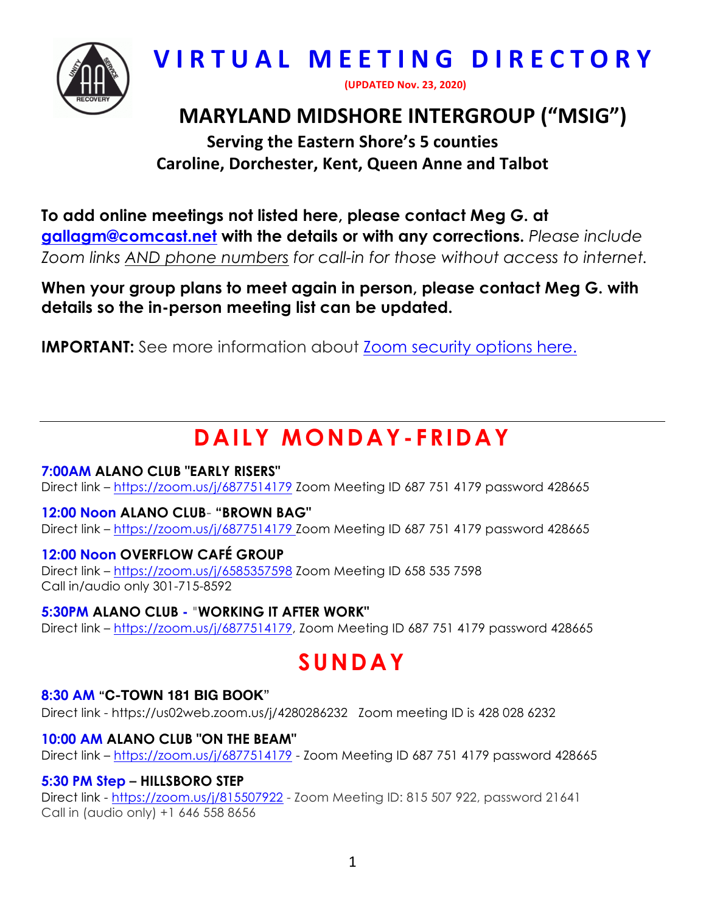

# **VIRTUAL MEETING DIRECTORY**

**(UPDATED Nov. 23, 2020)**

# **MARYLAND MIDSHORE INTERGROUP ("MSIG")**

**Serving the Eastern Shore's 5 counties Caroline, Dorchester, Kent, Queen Anne and Talbot** 

**To add online meetings not listed here, please contact Meg G. at gallagm@comcast.net with the details or with any corrections.** *Please include Zoom links AND phone numbers for call-in for those without access to internet.*

**When your group plans to meet again in person, please contact Meg G. with details so the in-person meeting list can be updated.**

**IMPORTANT:** See more information about Zoom security options here.

# **DAILY MONDAY- FRIDAY**

# **7:00AM ALANO CLUB "EARLY RISERS"**

Direct link - https://zoom.us/j/6877514179 Zoom Meeting ID 687 751 4179 password 428665

### **12:00 Noon ALANO CLUB**- **"BROWN BAG"**

Direct link – https://zoom.us/j/6877514179 Zoom Meeting ID 687 751 4179 password 428665

# **12:00 Noon OVERFLOW CAFÉ GROUP**

Direct link – https://zoom.us/j/6585357598 Zoom Meeting ID 658 535 7598 Call in/audio only 301-715-8592

# **5:30PM ALANO CLUB -** "**WORKING IT AFTER WORK"**

Direct link – https://zoom.us/j/6877514179, Zoom Meeting ID 687 751 4179 password 428665

# **SUNDAY**

# **8:30 AM "C-TOWN 181 BIG BOOK**"

Direct link - https://us02web.zoom.us/j/4280286232 Zoom meeting ID is 428 028 6232

# **10:00 AM ALANO CLUB "ON THE BEAM"**

Direct link - https://zoom.us/j/6877514179 - Zoom Meeting ID 687 751 4179 password 428665

### **5:30 PM Step – HILLSBORO STEP**

Direct link - https://zoom.us/j/815507922 - Zoom Meeting ID: 815 507 922, password 21641 Call in (audio only) +1 646 558 8656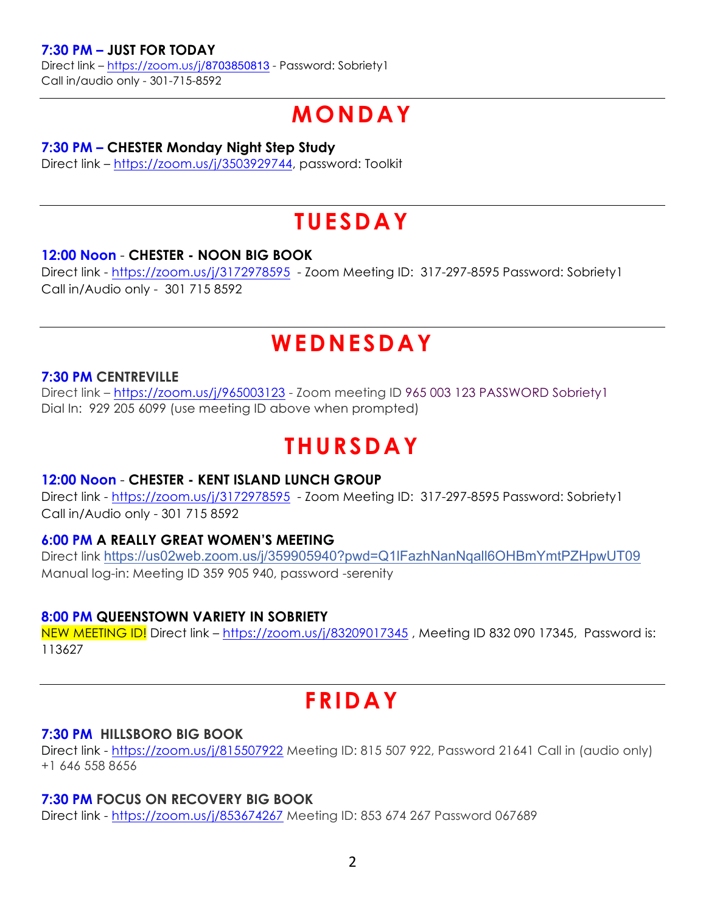### **7:30 PM – JUST FOR TODAY**

Direct link – https://zoom.us/j/8703850813 - Password: Sobriety1 Call in/audio only - 301-715-8592

# **MONDAY**

#### **7:30 PM – CHESTER Monday Night Step Study**

Direct link – https://zoom.us/j/3503929744, password: Toolkit

# **TUESDAY**

### **12:00 Noon** - **CHESTER - NOON BIG BOOK**

Direct link - https://zoom.us/j/3172978595 - Zoom Meeting ID: 317-297-8595 Password: Sobriety1 Call in/Audio only - 301 715 8592

# **WEDNESDAY**

### **7:30 PM CENTREVILLE**

Direct link - https://zoom.us/j/965003123 - Zoom meeting ID 965 003 123 PASSWORD Sobriety1 Dial In: 929 205 6099 (use meeting ID above when prompted)

# **THURSDAY**

### **12:00 Noon** - **CHESTER - KENT ISLAND LUNCH GROUP**

Direct link - https://zoom.us/j/3172978595 - Zoom Meeting ID: 317-297-8595 Password: Sobriety1 Call in/Audio only - 301 715 8592

### **6:00 PM A REALLY GREAT WOMEN'S MEETING**

Direct link https://us02web.zoom.us/j/359905940?pwd=Q1lFazhNanNqall6OHBmYmtPZHpwUT09 Manual log-in: Meeting ID 359 905 940, password -serenity

### **8:00 PM QUEENSTOWN VARIETY IN SOBRIETY**

NEW MEETING ID! Direct link - https://zoom.us/j/83209017345, Meeting ID 832 090 17345, Password is: 113627

# **FRIDAY**

#### **7:30 PM HILLSBORO BIG BOOK**

Direct link - https://zoom.us/j/815507922 Meeting ID: 815 507 922, Password 21641 Call in (audio only) +1 646 558 8656

### **7:30 PM FOCUS ON RECOVERY BIG BOOK**

Direct link - https://zoom.us/j/853674267 Meeting ID: 853 674 267 Password 067689